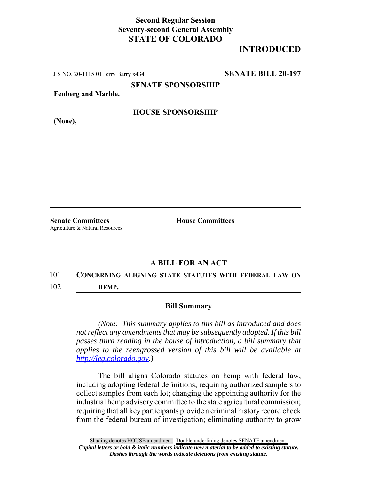## **Second Regular Session Seventy-second General Assembly STATE OF COLORADO**

# **INTRODUCED**

LLS NO. 20-1115.01 Jerry Barry x4341 **SENATE BILL 20-197**

**SENATE SPONSORSHIP**

**Fenberg and Marble,**

**HOUSE SPONSORSHIP**

**(None),**

**Senate Committees House Committees** Agriculture & Natural Resources

### **A BILL FOR AN ACT**

### 101 **CONCERNING ALIGNING STATE STATUTES WITH FEDERAL LAW ON** 102 **HEMP.**

#### **Bill Summary**

*(Note: This summary applies to this bill as introduced and does not reflect any amendments that may be subsequently adopted. If this bill passes third reading in the house of introduction, a bill summary that applies to the reengrossed version of this bill will be available at http://leg.colorado.gov.)*

The bill aligns Colorado statutes on hemp with federal law, including adopting federal definitions; requiring authorized samplers to collect samples from each lot; changing the appointing authority for the industrial hemp advisory committee to the state agricultural commission; requiring that all key participants provide a criminal history record check from the federal bureau of investigation; eliminating authority to grow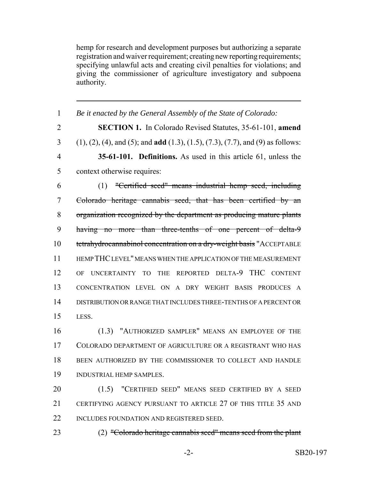hemp for research and development purposes but authorizing a separate registration and waiver requirement; creating new reporting requirements; specifying unlawful acts and creating civil penalties for violations; and giving the commissioner of agriculture investigatory and subpoena authority.

 *Be it enacted by the General Assembly of the State of Colorado:* **SECTION 1.** In Colorado Revised Statutes, 35-61-101, **amend** (1), (2), (4), and (5); and **add** (1.3), (1.5), (7.3), (7.7), and (9) as follows: **35-61-101. Definitions.** As used in this article 61, unless the context otherwise requires: (1) "Certified seed" means industrial hemp seed, including Colorado heritage cannabis seed, that has been certified by an organization recognized by the department as producing mature plants having no more than three-tenths of one percent of delta-9 10 tetrahydrocannabinol concentration on a dry-weight basis "ACCEPTABLE HEMP THC LEVEL" MEANS WHEN THE APPLICATION OF THE MEASUREMENT OF UNCERTAINTY TO THE REPORTED DELTA-9 THC CONTENT CONCENTRATION LEVEL ON A DRY WEIGHT BASIS PRODUCES A DISTRIBUTION OR RANGE THAT INCLUDES THREE-TENTHS OF A PERCENT OR LESS. (1.3) "AUTHORIZED SAMPLER" MEANS AN EMPLOYEE OF THE COLORADO DEPARTMENT OF AGRICULTURE OR A REGISTRANT WHO HAS

 BEEN AUTHORIZED BY THE COMMISSIONER TO COLLECT AND HANDLE INDUSTRIAL HEMP SAMPLES.

 (1.5) "CERTIFIED SEED" MEANS SEED CERTIFIED BY A SEED CERTIFYING AGENCY PURSUANT TO ARTICLE 27 OF THIS TITLE 35 AND 22 INCLUDES FOUNDATION AND REGISTERED SEED.

(2) "Colorado heritage cannabis seed" means seed from the plant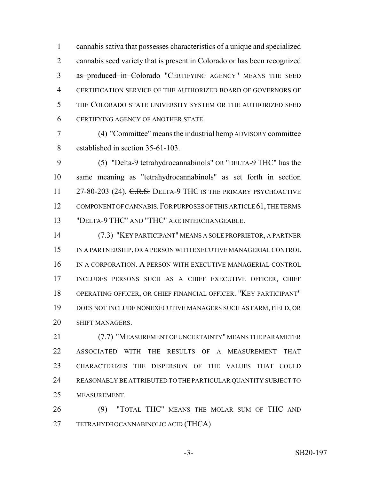cannabis sativa that possesses characteristics of a unique and specialized 2 cannabis seed variety that is present in Colorado or has been recognized 3 as produced in Colorado "CERTIFYING AGENCY" MEANS THE SEED CERTIFICATION SERVICE OF THE AUTHORIZED BOARD OF GOVERNORS OF THE COLORADO STATE UNIVERSITY SYSTEM OR THE AUTHORIZED SEED CERTIFYING AGENCY OF ANOTHER STATE.

 (4) "Committee" means the industrial hemp ADVISORY committee established in section 35-61-103.

 (5) "Delta-9 tetrahydrocannabinols" OR "DELTA-9 THC" has the same meaning as "tetrahydrocannabinols" as set forth in section 11 27-80-203 (24). C.R.S. DELTA-9 THC IS THE PRIMARY PSYCHOACTIVE 12 COMPONENT OF CANNABIS. FOR PURPOSES OF THIS ARTICLE 61, THE TERMS "DELTA-9 THC" AND "THC" ARE INTERCHANGEABLE.

 (7.3) "KEY PARTICIPANT" MEANS A SOLE PROPRIETOR, A PARTNER IN A PARTNERSHIP, OR A PERSON WITH EXECUTIVE MANAGERIAL CONTROL IN A CORPORATION. A PERSON WITH EXECUTIVE MANAGERIAL CONTROL INCLUDES PERSONS SUCH AS A CHIEF EXECUTIVE OFFICER, CHIEF OPERATING OFFICER, OR CHIEF FINANCIAL OFFICER. "KEY PARTICIPANT" DOES NOT INCLUDE NONEXECUTIVE MANAGERS SUCH AS FARM, FIELD, OR SHIFT MANAGERS.

 (7.7) "MEASUREMENT OF UNCERTAINTY" MEANS THE PARAMETER ASSOCIATED WITH THE RESULTS OF A MEASUREMENT THAT CHARACTERIZES THE DISPERSION OF THE VALUES THAT COULD REASONABLY BE ATTRIBUTED TO THE PARTICULAR QUANTITY SUBJECT TO MEASUREMENT.

 (9) "TOTAL THC" MEANS THE MOLAR SUM OF THC AND TETRAHYDROCANNABINOLIC ACID (THCA).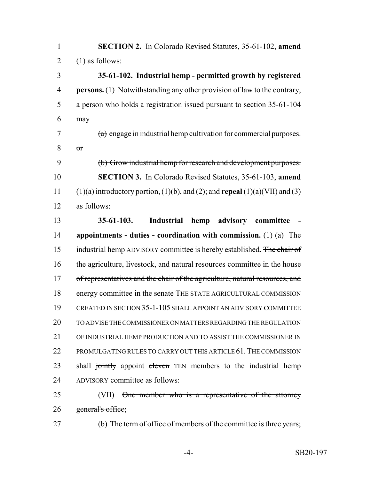| $\mathbf{1}$   | <b>SECTION 2.</b> In Colorado Revised Statutes, 35-61-102, amend                                |
|----------------|-------------------------------------------------------------------------------------------------|
| $\overline{2}$ | $(1)$ as follows:                                                                               |
| 3              | 35-61-102. Industrial hemp - permitted growth by registered                                     |
| $\overline{4}$ | <b>persons.</b> (1) Notwithstanding any other provision of law to the contrary,                 |
| 5              | a person who holds a registration issued pursuant to section 35-61-104                          |
| 6              | may                                                                                             |
| 7              | $(a)$ engage in industrial hemp cultivation for commercial purposes.                            |
| 8              | $\sigma$ r                                                                                      |
| 9              | (b) Grow industrial hemp for research and development purposes.                                 |
| 10             | <b>SECTION 3.</b> In Colorado Revised Statutes, 35-61-103, amend                                |
| 11             | $(1)(a)$ introductory portion, $(1)(b)$ , and $(2)$ ; and <b>repeal</b> $(1)(a)(VII)$ and $(3)$ |
| 12             | as follows:                                                                                     |
| 13             | $35-61-103.$<br><b>Industrial</b><br>hemp<br>advisory<br>committee                              |
| 14             | appointments - duties - coordination with commission. $(1)$ $(a)$ The                           |
| 15             | industrial hemp ADVISORY committee is hereby established. The chair of                          |
| 16             | the agriculture, livestock, and natural resources committee in the house                        |
| 17             | of representatives and the chair of the agriculture, natural resources, and                     |
| 18             | energy committee in the senate THE STATE AGRICULTURAL COMMISSION                                |
| 19             | CREATED IN SECTION 35-1-105 SHALL APPOINT AN ADVISORY COMMITTEE                                 |
| 20             | TO ADVISE THE COMMISSIONER ON MATTERS REGARDING THE REGULATION                                  |
| 21             | OF INDUSTRIAL HEMP PRODUCTION AND TO ASSIST THE COMMISSIONER IN                                 |
| 22             | PROMULGATING RULES TO CARRY OUT THIS ARTICLE 61. THE COMMISSION                                 |
| 23             | shall jointly appoint eleven TEN members to the industrial hemp                                 |
| 24             | ADVISORY committee as follows:                                                                  |
| 25             | (VII) One member who is a representative of the attorney                                        |
| 26             | general's office;                                                                               |
| 27             | (b) The term of office of members of the committee is three years;                              |
|                |                                                                                                 |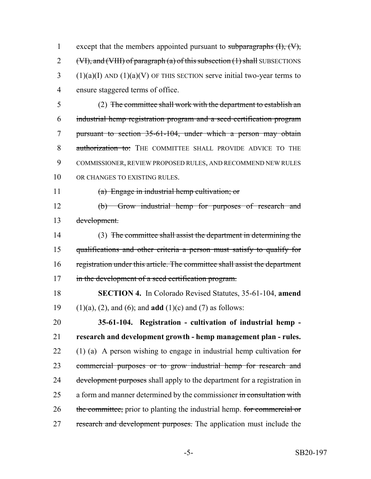1 except that the members appointed pursuant to subparagraphs  $(H)$ ,  $(W)$ , 2 (VI), and (VIII) of paragraph (a) of this subsection (1) shall SUBSECTIONS (1)(a)(I) AND (1)(a)(V) OF THIS SECTION serve initial two-year terms to ensure staggered terms of office.

 (2) The committee shall work with the department to establish an industrial hemp registration program and a seed certification program pursuant to section 35-61-104, under which a person may obtain 8 authorization to: THE COMMITTEE SHALL PROVIDE ADVICE TO THE COMMISSIONER, REVIEW PROPOSED RULES, AND RECOMMEND NEW RULES 10 OR CHANGES TO EXISTING RULES.

(a) Engage in industrial hemp cultivation; or

 (b) Grow industrial hemp for purposes of research and development.

 (3) The committee shall assist the department in determining the qualifications and other criteria a person must satisfy to qualify for registration under this article. The committee shall assist the department 17 in the development of a seed certification program.

 **SECTION 4.** In Colorado Revised Statutes, 35-61-104, **amend** (1)(a), (2), and (6); and **add** (1)(c) and (7) as follows:

 **35-61-104. Registration - cultivation of industrial hemp - research and development growth - hemp management plan - rules.** 22 (1) (a) A person wishing to engage in industrial hemp cultivation for commercial purposes or to grow industrial hemp for research and 24 development purposes shall apply to the department for a registration in 25 a form and manner determined by the commissioner in consultation with 26 the committee, prior to planting the industrial hemp. for commercial or 27 research and development purposes. The application must include the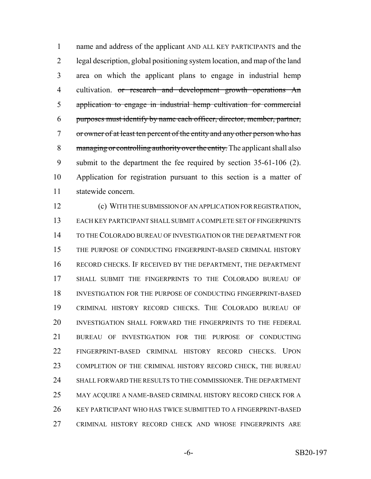name and address of the applicant AND ALL KEY PARTICIPANTS and the legal description, global positioning system location, and map of the land area on which the applicant plans to engage in industrial hemp 4 cultivation. or research and development growth operations An application to engage in industrial hemp cultivation for commercial purposes must identify by name each officer, director, member, partner, or owner of at least ten percent of the entity and any other person who has 8 managing or controlling authority over the entity. The applicant shall also submit to the department the fee required by section 35-61-106 (2). Application for registration pursuant to this section is a matter of statewide concern.

 (c) WITH THE SUBMISSION OF AN APPLICATION FOR REGISTRATION, EACH KEY PARTICIPANT SHALL SUBMIT A COMPLETE SET OF FINGERPRINTS TO THE COLORADO BUREAU OF INVESTIGATION OR THE DEPARTMENT FOR THE PURPOSE OF CONDUCTING FINGERPRINT-BASED CRIMINAL HISTORY RECORD CHECKS. IF RECEIVED BY THE DEPARTMENT, THE DEPARTMENT SHALL SUBMIT THE FINGERPRINTS TO THE COLORADO BUREAU OF INVESTIGATION FOR THE PURPOSE OF CONDUCTING FINGERPRINT-BASED CRIMINAL HISTORY RECORD CHECKS. THE COLORADO BUREAU OF INVESTIGATION SHALL FORWARD THE FINGERPRINTS TO THE FEDERAL BUREAU OF INVESTIGATION FOR THE PURPOSE OF CONDUCTING FINGERPRINT-BASED CRIMINAL HISTORY RECORD CHECKS. UPON 23 COMPLETION OF THE CRIMINAL HISTORY RECORD CHECK, THE BUREAU SHALL FORWARD THE RESULTS TO THE COMMISSIONER.THE DEPARTMENT MAY ACQUIRE A NAME-BASED CRIMINAL HISTORY RECORD CHECK FOR A KEY PARTICIPANT WHO HAS TWICE SUBMITTED TO A FINGERPRINT-BASED CRIMINAL HISTORY RECORD CHECK AND WHOSE FINGERPRINTS ARE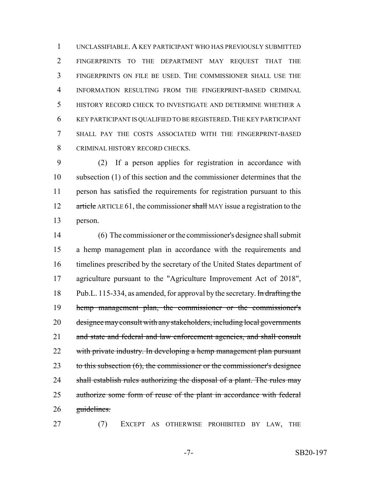UNCLASSIFIABLE. A KEY PARTICIPANT WHO HAS PREVIOUSLY SUBMITTED FINGERPRINTS TO THE DEPARTMENT MAY REQUEST THAT THE FINGERPRINTS ON FILE BE USED. THE COMMISSIONER SHALL USE THE INFORMATION RESULTING FROM THE FINGERPRINT-BASED CRIMINAL HISTORY RECORD CHECK TO INVESTIGATE AND DETERMINE WHETHER A KEY PARTICIPANT IS QUALIFIED TO BE REGISTERED.THE KEY PARTICIPANT SHALL PAY THE COSTS ASSOCIATED WITH THE FINGERPRINT-BASED CRIMINAL HISTORY RECORD CHECKS.

 (2) If a person applies for registration in accordance with subsection (1) of this section and the commissioner determines that the person has satisfied the requirements for registration pursuant to this 12 article ARTICLE 61, the commissioner shall MAY issue a registration to the person.

 (6) The commissioner or the commissioner's designee shall submit a hemp management plan in accordance with the requirements and timelines prescribed by the secretary of the United States department of agriculture pursuant to the "Agriculture Improvement Act of 2018", 18 Pub.L. 115-334, as amended, for approval by the secretary. In drafting the hemp management plan, the commissioner or the commissioner's designee may consult with any stakeholders, including local governments 21 and state and federal and law enforcement agencies, and shall consult 22 with private industry. In developing a hemp management plan pursuant 23 to this subsection (6), the commissioner or the commissioner's designee 24 shall establish rules authorizing the disposal of a plant. The rules may authorize some form of reuse of the plant in accordance with federal guidelines.

(7) EXCEPT AS OTHERWISE PROHIBITED BY LAW, THE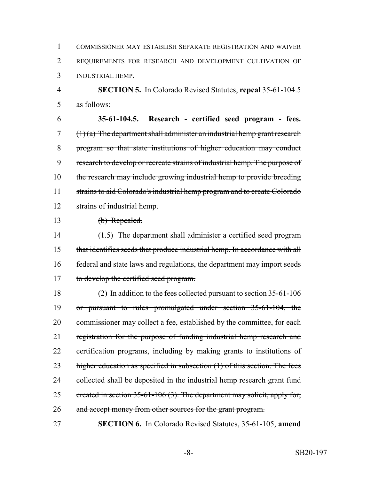1 COMMISSIONER MAY ESTABLISH SEPARATE REGISTRATION AND WAIVER 2 REQUIREMENTS FOR RESEARCH AND DEVELOPMENT CULTIVATION OF 3 INDUSTRIAL HEMP.

4 **SECTION 5.** In Colorado Revised Statutes, **repeal** 35-61-104.5 5 as follows:

6 **35-61-104.5. Research - certified seed program - fees.**  $7$  (1) (a) The department shall administer an industrial hemp grant research 8 program so that state institutions of higher education may conduct 9 research to develop or recreate strains of industrial hemp. The purpose of 10 the research may include growing industrial hemp to provide breeding 11 strains to aid Colorado's industrial hemp program and to create Colorado 12 strains of industrial hemp.

13 (b) Repealed.

14 (1.5) The department shall administer a certified seed program 15 that identifies seeds that produce industrial hemp. In accordance with all 16 federal and state laws and regulations, the department may import seeds 17 to develop the certified seed program.

18 (2) In addition to the fees collected pursuant to section 35-61-106 19 or pursuant to rules promulgated under section 35-61-104, the 20 commissioner may collect a fee, established by the committee, for each 21 registration for the purpose of funding industrial hemp research and 22 certification programs, including by making grants to institutions of 23 higher education as specified in subsection (1) of this section. The fees 24 collected shall be deposited in the industrial hemp research grant fund 25 created in section 35-61-106 (3). The department may solicit, apply for, 26 and accept money from other sources for the grant program.

27 **SECTION 6.** In Colorado Revised Statutes, 35-61-105, **amend**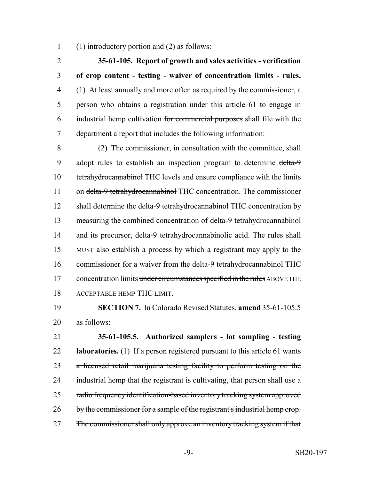(1) introductory portion and (2) as follows:

 **35-61-105. Report of growth and sales activities - verification of crop content - testing - waiver of concentration limits - rules.** (1) At least annually and more often as required by the commissioner, a person who obtains a registration under this article 61 to engage in industrial hemp cultivation for commercial purposes shall file with the department a report that includes the following information:

 (2) The commissioner, in consultation with the committee, shall 9 adopt rules to establish an inspection program to determine delta-9 tetrahydrocannabinol THC levels and ensure compliance with the limits 11 on delta-9 tetrahydrocannabinol THC concentration. The commissioner 12 shall determine the delta-9 tetrahydrocannabinol THC concentration by measuring the combined concentration of delta-9 tetrahydrocannabinol 14 and its precursor, delta-9 tetrahydrocannabinolic acid. The rules shall MUST also establish a process by which a registrant may apply to the 16 commissioner for a waiver from the delta-9 tetrahydrocannabinol THC 17 concentration limits under circumstances specified in the rules ABOVE THE ACCEPTABLE HEMP THC LIMIT.

 **SECTION 7.** In Colorado Revised Statutes, **amend** 35-61-105.5 as follows:

 **35-61-105.5. Authorized samplers - lot sampling - testing laboratories.** (1) If a person registered pursuant to this article 61 wants a licensed retail marijuana testing facility to perform testing on the 24 industrial hemp that the registrant is cultivating, that person shall use a 25 radio frequency identification-based inventory tracking system approved 26 by the commissioner for a sample of the registrant's industrial hemp crop. 27 The commissioner shall only approve an inventory tracking system if that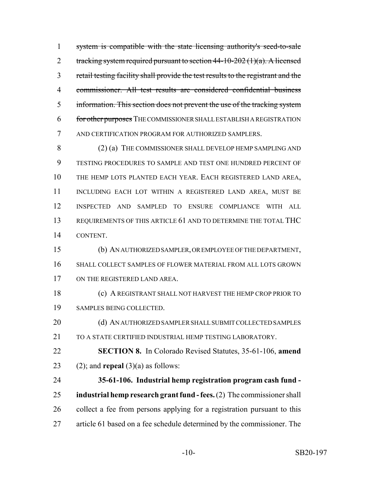system is compatible with the state licensing authority's seed-to-sale 2 tracking system required pursuant to section  $44-10-202(1)(a)$ . A licensed retail testing facility shall provide the test results to the registrant and the commissioner. All test results are considered confidential business information. This section does not prevent the use of the tracking system for other purposes THE COMMISSIONER SHALL ESTABLISH A REGISTRATION AND CERTIFICATION PROGRAM FOR AUTHORIZED SAMPLERS.

 (2) (a) THE COMMISSIONER SHALL DEVELOP HEMP SAMPLING AND TESTING PROCEDURES TO SAMPLE AND TEST ONE HUNDRED PERCENT OF THE HEMP LOTS PLANTED EACH YEAR. EACH REGISTERED LAND AREA, INCLUDING EACH LOT WITHIN A REGISTERED LAND AREA, MUST BE INSPECTED AND SAMPLED TO ENSURE COMPLIANCE WITH ALL REQUIREMENTS OF THIS ARTICLE 61 AND TO DETERMINE THE TOTAL THC CONTENT.

 (b) AN AUTHORIZED SAMPLER, OR EMPLOYEE OF THE DEPARTMENT, SHALL COLLECT SAMPLES OF FLOWER MATERIAL FROM ALL LOTS GROWN ON THE REGISTERED LAND AREA.

 (c) A REGISTRANT SHALL NOT HARVEST THE HEMP CROP PRIOR TO SAMPLES BEING COLLECTED.

20 (d) AN AUTHORIZED SAMPLER SHALL SUBMIT COLLECTED SAMPLES 21 TO A STATE CERTIFIED INDUSTRIAL HEMP TESTING LABORATORY.

 **SECTION 8.** In Colorado Revised Statutes, 35-61-106, **amend** 23 (2); and **repeal**  $(3)(a)$  as follows:

 **35-61-106. Industrial hemp registration program cash fund - industrial hemp research grant fund - fees.** (2) The commissioner shall collect a fee from persons applying for a registration pursuant to this article 61 based on a fee schedule determined by the commissioner. The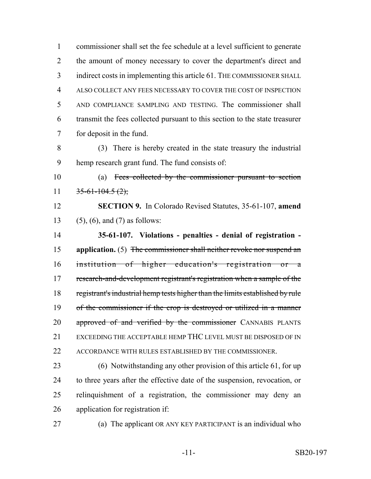commissioner shall set the fee schedule at a level sufficient to generate the amount of money necessary to cover the department's direct and indirect costs in implementing this article 61. THE COMMISSIONER SHALL ALSO COLLECT ANY FEES NECESSARY TO COVER THE COST OF INSPECTION AND COMPLIANCE SAMPLING AND TESTING. The commissioner shall transmit the fees collected pursuant to this section to the state treasurer for deposit in the fund.

 (3) There is hereby created in the state treasury the industrial hemp research grant fund. The fund consists of:

 (a) Fees collected by the commissioner pursuant to section 11  $35-61-104.5(2)$ ;

 **SECTION 9.** In Colorado Revised Statutes, 35-61-107, **amend** (5), (6), and (7) as follows:

 **35-61-107. Violations - penalties - denial of registration - application.** (5) The commissioner shall neither revoke nor suspend an institution of higher education's registration or a research-and-development registrant's registration when a sample of the registrant's industrial hemp tests higher than the limits established by rule of the commissioner if the crop is destroyed or utilized in a manner 20 approved of and verified by the commissioner CANNABIS PLANTS EXCEEDING THE ACCEPTABLE HEMP THC LEVEL MUST BE DISPOSED OF IN ACCORDANCE WITH RULES ESTABLISHED BY THE COMMISSIONER.

 (6) Notwithstanding any other provision of this article 61, for up to three years after the effective date of the suspension, revocation, or relinquishment of a registration, the commissioner may deny an application for registration if:

(a) The applicant OR ANY KEY PARTICIPANT is an individual who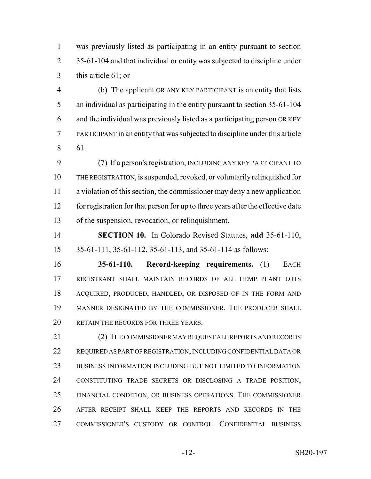was previously listed as participating in an entity pursuant to section 2 35-61-104 and that individual or entity was subjected to discipline under this article 61; or

 (b) The applicant OR ANY KEY PARTICIPANT is an entity that lists an individual as participating in the entity pursuant to section 35-61-104 and the individual was previously listed as a participating person OR KEY PARTICIPANT in an entity that was subjected to discipline under this article 61.

 (7) If a person's registration, INCLUDING ANY KEY PARTICIPANT TO THE REGISTRATION, is suspended, revoked, or voluntarily relinquished for a violation of this section, the commissioner may deny a new application for registration for that person for up to three years after the effective date of the suspension, revocation, or relinquishment.

 **SECTION 10.** In Colorado Revised Statutes, **add** 35-61-110, 35-61-111, 35-61-112, 35-61-113, and 35-61-114 as follows:

 **35-61-110. Record-keeping requirements.** (1) EACH REGISTRANT SHALL MAINTAIN RECORDS OF ALL HEMP PLANT LOTS ACQUIRED, PRODUCED, HANDLED, OR DISPOSED OF IN THE FORM AND MANNER DESIGNATED BY THE COMMISSIONER. THE PRODUCER SHALL 20 RETAIN THE RECORDS FOR THREE YEARS.

 (2) THE COMMISSIONER MAY REQUEST ALL REPORTS AND RECORDS REQUIRED AS PART OF REGISTRATION, INCLUDING CONFIDENTIAL DATA OR BUSINESS INFORMATION INCLUDING BUT NOT LIMITED TO INFORMATION CONSTITUTING TRADE SECRETS OR DISCLOSING A TRADE POSITION, FINANCIAL CONDITION, OR BUSINESS OPERATIONS. THE COMMISSIONER AFTER RECEIPT SHALL KEEP THE REPORTS AND RECORDS IN THE COMMISSIONER'S CUSTODY OR CONTROL. CONFIDENTIAL BUSINESS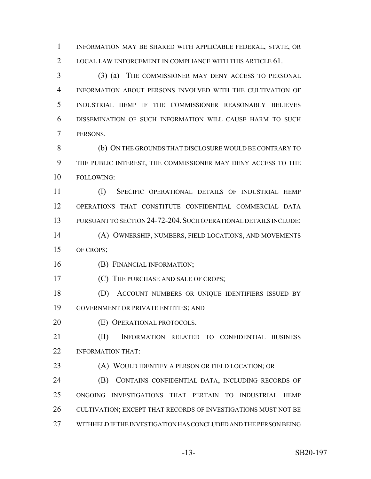INFORMATION MAY BE SHARED WITH APPLICABLE FEDERAL, STATE, OR 2 LOCAL LAW ENFORCEMENT IN COMPLIANCE WITH THIS ARTICLE 61.

 (3) (a) THE COMMISSIONER MAY DENY ACCESS TO PERSONAL INFORMATION ABOUT PERSONS INVOLVED WITH THE CULTIVATION OF INDUSTRIAL HEMP IF THE COMMISSIONER REASONABLY BELIEVES DISSEMINATION OF SUCH INFORMATION WILL CAUSE HARM TO SUCH PERSONS.

 (b) ON THE GROUNDS THAT DISCLOSURE WOULD BE CONTRARY TO THE PUBLIC INTEREST, THE COMMISSIONER MAY DENY ACCESS TO THE FOLLOWING:

 (I) SPECIFIC OPERATIONAL DETAILS OF INDUSTRIAL HEMP OPERATIONS THAT CONSTITUTE CONFIDENTIAL COMMERCIAL DATA PURSUANT TO SECTION 24-72-204.SUCH OPERATIONAL DETAILS INCLUDE:

 (A) OWNERSHIP, NUMBERS, FIELD LOCATIONS, AND MOVEMENTS OF CROPS;

(B) FINANCIAL INFORMATION;

**(C)** THE PURCHASE AND SALE OF CROPS;

 (D) ACCOUNT NUMBERS OR UNIQUE IDENTIFIERS ISSUED BY GOVERNMENT OR PRIVATE ENTITIES; AND

**(E) OPERATIONAL PROTOCOLS.** 

 (II) INFORMATION RELATED TO CONFIDENTIAL BUSINESS INFORMATION THAT:

**(A) WOULD IDENTIFY A PERSON OR FIELD LOCATION; OR** 

 (B) CONTAINS CONFIDENTIAL DATA, INCLUDING RECORDS OF ONGOING INVESTIGATIONS THAT PERTAIN TO INDUSTRIAL HEMP CULTIVATION; EXCEPT THAT RECORDS OF INVESTIGATIONS MUST NOT BE WITHHELD IF THE INVESTIGATION HAS CONCLUDED AND THE PERSON BEING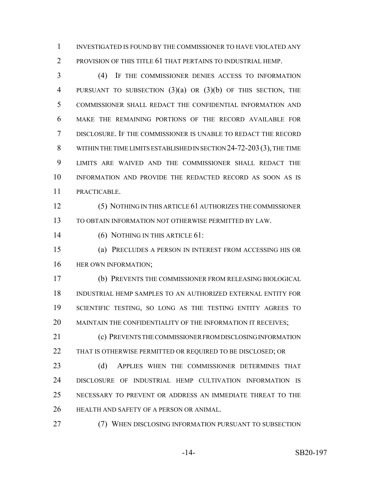INVESTIGATED IS FOUND BY THE COMMISSIONER TO HAVE VIOLATED ANY PROVISION OF THIS TITLE 61 THAT PERTAINS TO INDUSTRIAL HEMP.

 (4) IF THE COMMISSIONER DENIES ACCESS TO INFORMATION PURSUANT TO SUBSECTION (3)(a) OR (3)(b) OF THIS SECTION, THE COMMISSIONER SHALL REDACT THE CONFIDENTIAL INFORMATION AND MAKE THE REMAINING PORTIONS OF THE RECORD AVAILABLE FOR DISCLOSURE. IF THE COMMISSIONER IS UNABLE TO REDACT THE RECORD WITHIN THE TIME LIMITS ESTABLISHED IN SECTION 24-72-203(3), THE TIME LIMITS ARE WAIVED AND THE COMMISSIONER SHALL REDACT THE INFORMATION AND PROVIDE THE REDACTED RECORD AS SOON AS IS PRACTICABLE.

 (5) NOTHING IN THIS ARTICLE 61 AUTHORIZES THE COMMISSIONER TO OBTAIN INFORMATION NOT OTHERWISE PERMITTED BY LAW.

(6) NOTHING IN THIS ARTICLE 61:

 (a) PRECLUDES A PERSON IN INTEREST FROM ACCESSING HIS OR **HER OWN INFORMATION;** 

 (b) PREVENTS THE COMMISSIONER FROM RELEASING BIOLOGICAL INDUSTRIAL HEMP SAMPLES TO AN AUTHORIZED EXTERNAL ENTITY FOR SCIENTIFIC TESTING, SO LONG AS THE TESTING ENTITY AGREES TO 20 MAINTAIN THE CONFIDENTIALITY OF THE INFORMATION IT RECEIVES;

 (c) PREVENTS THE COMMISSIONER FROM DISCLOSING INFORMATION 22 THAT IS OTHERWISE PERMITTED OR REQUIRED TO BE DISCLOSED; OR

23 (d) APPLIES WHEN THE COMMISSIONER DETERMINES THAT DISCLOSURE OF INDUSTRIAL HEMP CULTIVATION INFORMATION IS NECESSARY TO PREVENT OR ADDRESS AN IMMEDIATE THREAT TO THE HEALTH AND SAFETY OF A PERSON OR ANIMAL.

(7) WHEN DISCLOSING INFORMATION PURSUANT TO SUBSECTION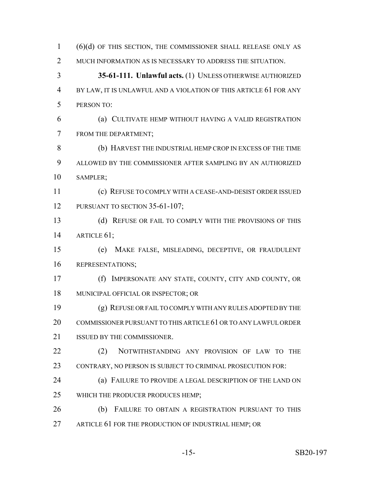(6)(d) OF THIS SECTION, THE COMMISSIONER SHALL RELEASE ONLY AS 2 MUCH INFORMATION AS IS NECESSARY TO ADDRESS THE SITUATION. **35-61-111. Unlawful acts.** (1) UNLESS OTHERWISE AUTHORIZED BY LAW, IT IS UNLAWFUL AND A VIOLATION OF THIS ARTICLE 61 FOR ANY PERSON TO: (a) CULTIVATE HEMP WITHOUT HAVING A VALID REGISTRATION FROM THE DEPARTMENT; (b) HARVEST THE INDUSTRIAL HEMP CROP IN EXCESS OF THE TIME ALLOWED BY THE COMMISSIONER AFTER SAMPLING BY AN AUTHORIZED SAMPLER; (c) REFUSE TO COMPLY WITH A CEASE-AND-DESIST ORDER ISSUED 12 PURSUANT TO SECTION 35-61-107; 13 (d) REFUSE OR FAIL TO COMPLY WITH THE PROVISIONS OF THIS ARTICLE 61; (e) MAKE FALSE, MISLEADING, DECEPTIVE, OR FRAUDULENT REPRESENTATIONS; (f) IMPERSONATE ANY STATE, COUNTY, CITY AND COUNTY, OR MUNICIPAL OFFICIAL OR INSPECTOR; OR (g) REFUSE OR FAIL TO COMPLY WITH ANY RULES ADOPTED BY THE COMMISSIONER PURSUANT TO THIS ARTICLE 61 OR TO ANY LAWFUL ORDER ISSUED BY THE COMMISSIONER. 22 (2) NOTWITHSTANDING ANY PROVISION OF LAW TO THE CONTRARY, NO PERSON IS SUBJECT TO CRIMINAL PROSECUTION FOR: (a) FAILURE TO PROVIDE A LEGAL DESCRIPTION OF THE LAND ON WHICH THE PRODUCER PRODUCES HEMP; (b) FAILURE TO OBTAIN A REGISTRATION PURSUANT TO THIS ARTICLE 61 FOR THE PRODUCTION OF INDUSTRIAL HEMP; OR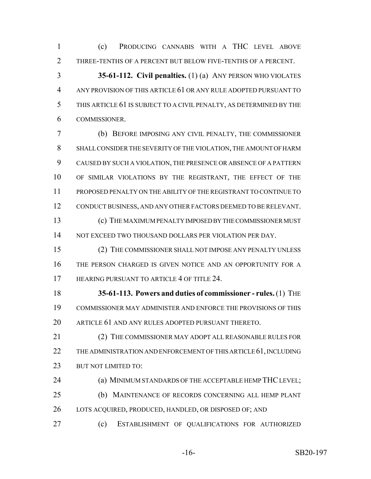(c) PRODUCING CANNABIS WITH A THC LEVEL ABOVE THREE-TENTHS OF A PERCENT BUT BELOW FIVE-TENTHS OF A PERCENT.

 **35-61-112. Civil penalties.** (1) (a) ANY PERSON WHO VIOLATES ANY PROVISION OF THIS ARTICLE 61 OR ANY RULE ADOPTED PURSUANT TO THIS ARTICLE 61 IS SUBJECT TO A CIVIL PENALTY, AS DETERMINED BY THE COMMISSIONER.

 (b) BEFORE IMPOSING ANY CIVIL PENALTY, THE COMMISSIONER SHALL CONSIDER THE SEVERITY OF THE VIOLATION, THE AMOUNT OF HARM CAUSED BY SUCH A VIOLATION, THE PRESENCE OR ABSENCE OF A PATTERN OF SIMILAR VIOLATIONS BY THE REGISTRANT, THE EFFECT OF THE PROPOSED PENALTY ON THE ABILITY OF THE REGISTRANT TO CONTINUE TO CONDUCT BUSINESS, AND ANY OTHER FACTORS DEEMED TO BE RELEVANT. (c) THE MAXIMUM PENALTY IMPOSED BY THE COMMISSIONER MUST

NOT EXCEED TWO THOUSAND DOLLARS PER VIOLATION PER DAY.

 (2) THE COMMISSIONER SHALL NOT IMPOSE ANY PENALTY UNLESS THE PERSON CHARGED IS GIVEN NOTICE AND AN OPPORTUNITY FOR A 17 HEARING PURSUANT TO ARTICLE 4 OF TITLE 24.

 **35-61-113. Powers and duties of commissioner - rules.** (1) THE COMMISSIONER MAY ADMINISTER AND ENFORCE THE PROVISIONS OF THIS ARTICLE 61 AND ANY RULES ADOPTED PURSUANT THERETO.

21 (2) THE COMMISSIONER MAY ADOPT ALL REASONABLE RULES FOR THE ADMINISTRATION AND ENFORCEMENT OF THIS ARTICLE 61, INCLUDING BUT NOT LIMITED TO:

(a) MINIMUM STANDARDS OF THE ACCEPTABLE HEMP THC LEVEL;

 (b) MAINTENANCE OF RECORDS CONCERNING ALL HEMP PLANT LOTS ACQUIRED, PRODUCED, HANDLED, OR DISPOSED OF; AND

(c) ESTABLISHMENT OF QUALIFICATIONS FOR AUTHORIZED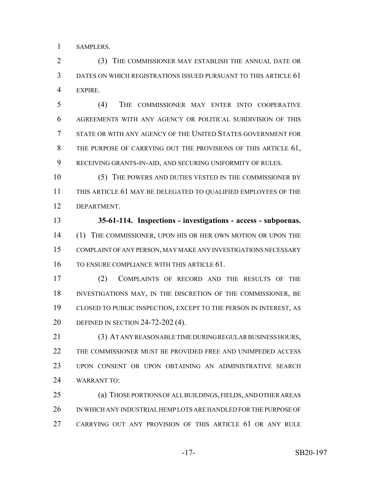SAMPLERS.

 (3) THE COMMISSIONER MAY ESTABLISH THE ANNUAL DATE OR DATES ON WHICH REGISTRATIONS ISSUED PURSUANT TO THIS ARTICLE 61 EXPIRE.

 (4) THE COMMISSIONER MAY ENTER INTO COOPERATIVE AGREEMENTS WITH ANY AGENCY OR POLITICAL SUBDIVISION OF THIS STATE OR WITH ANY AGENCY OF THE UNITED STATES GOVERNMENT FOR 8 THE PURPOSE OF CARRYING OUT THE PROVISIONS OF THIS ARTICLE 61, RECEIVING GRANTS-IN-AID, AND SECURING UNIFORMITY OF RULES.

10 (5) THE POWERS AND DUTIES VESTED IN THE COMMISSIONER BY THIS ARTICLE 61 MAY BE DELEGATED TO QUALIFIED EMPLOYEES OF THE DEPARTMENT.

 **35-61-114. Inspections - investigations - access - subpoenas.** (1) THE COMMISSIONER, UPON HIS OR HER OWN MOTION OR UPON THE COMPLAINT OF ANY PERSON, MAY MAKE ANY INVESTIGATIONS NECESSARY TO ENSURE COMPLIANCE WITH THIS ARTICLE 61.

 (2) COMPLAINTS OF RECORD AND THE RESULTS OF THE INVESTIGATIONS MAY, IN THE DISCRETION OF THE COMMISSIONER, BE CLOSED TO PUBLIC INSPECTION, EXCEPT TO THE PERSON IN INTEREST, AS DEFINED IN SECTION 24-72-202 (4).

 (3) AT ANY REASONABLE TIME DURING REGULAR BUSINESS HOURS, THE COMMISSIONER MUST BE PROVIDED FREE AND UNIMPEDED ACCESS UPON CONSENT OR UPON OBTAINING AN ADMINISTRATIVE SEARCH WARRANT TO:

 (a) THOSE PORTIONS OF ALL BUILDINGS, FIELDS, AND OTHER AREAS IN WHICH ANY INDUSTRIAL HEMP LOTS ARE HANDLED FOR THE PURPOSE OF CARRYING OUT ANY PROVISION OF THIS ARTICLE 61 OR ANY RULE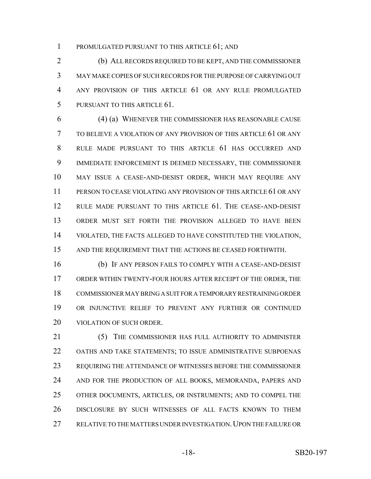PROMULGATED PURSUANT TO THIS ARTICLE 61; AND

 (b) ALL RECORDS REQUIRED TO BE KEPT, AND THE COMMISSIONER MAY MAKE COPIES OF SUCH RECORDS FOR THE PURPOSE OF CARRYING OUT ANY PROVISION OF THIS ARTICLE 61 OR ANY RULE PROMULGATED PURSUANT TO THIS ARTICLE 61.

 (4) (a) WHENEVER THE COMMISSIONER HAS REASONABLE CAUSE TO BELIEVE A VIOLATION OF ANY PROVISION OF THIS ARTICLE 61 OR ANY RULE MADE PURSUANT TO THIS ARTICLE 61 HAS OCCURRED AND IMMEDIATE ENFORCEMENT IS DEEMED NECESSARY, THE COMMISSIONER MAY ISSUE A CEASE-AND-DESIST ORDER, WHICH MAY REQUIRE ANY PERSON TO CEASE VIOLATING ANY PROVISION OF THIS ARTICLE 61 OR ANY RULE MADE PURSUANT TO THIS ARTICLE 61. THE CEASE-AND-DESIST ORDER MUST SET FORTH THE PROVISION ALLEGED TO HAVE BEEN VIOLATED, THE FACTS ALLEGED TO HAVE CONSTITUTED THE VIOLATION, AND THE REQUIREMENT THAT THE ACTIONS BE CEASED FORTHWITH.

 (b) IF ANY PERSON FAILS TO COMPLY WITH A CEASE-AND-DESIST ORDER WITHIN TWENTY-FOUR HOURS AFTER RECEIPT OF THE ORDER, THE COMMISSIONER MAY BRING A SUIT FOR A TEMPORARY RESTRAINING ORDER OR INJUNCTIVE RELIEF TO PREVENT ANY FURTHER OR CONTINUED VIOLATION OF SUCH ORDER.

 (5) THE COMMISSIONER HAS FULL AUTHORITY TO ADMINISTER OATHS AND TAKE STATEMENTS; TO ISSUE ADMINISTRATIVE SUBPOENAS REQUIRING THE ATTENDANCE OF WITNESSES BEFORE THE COMMISSIONER 24 AND FOR THE PRODUCTION OF ALL BOOKS, MEMORANDA, PAPERS AND OTHER DOCUMENTS, ARTICLES, OR INSTRUMENTS; AND TO COMPEL THE DISCLOSURE BY SUCH WITNESSES OF ALL FACTS KNOWN TO THEM 27 RELATIVE TO THE MATTERS UNDER INVESTIGATION. UPON THE FAILURE OR